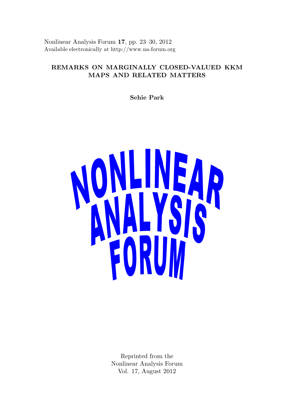Nonlinear Analysis Forum 17, pp. 23–30, 2012 Available electronically at http://www.na-forum.org

# REMARKS ON MARGINALLY CLOSED-VALUED KKM MAPS AND RELATED MATTERS

Sehie Park



Reprinted from the Nonlinear Analysis Forum Vol. 17, August 2012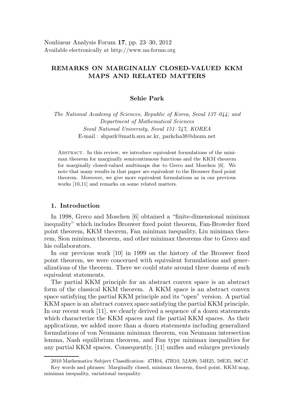# REMARKS ON MARGINALLY CLOSED-VALUED KKM MAPS AND RELATED MATTERS

### Sehie Park

The National Academy of Sciences, Republic of Korea, Seoul 137–044; and Department of Mathematical Sciences Seoul National University, Seoul 151–747, KOREA E-mail : shpark@math.snu.ac.kr, parkcha38@daum.net

Abstract. In this review, we introduce equivalent formulations of the minimax theorem for marginally semicontinuous functions and the KKM theorem for marginally closed-valued multimaps due to Greco and Moschen [6]. We note that many results in that paper are equivalent to the Brouwer fixed point theorem. Moreover, we give more equivalent formulations as in our previous works [10,11] and remarks on some related matters.

#### 1. Introduction

In 1998, Greco and Moschen [6] obtained a "finite-dimensional minimax inequality" which includes Brouwer fixed point theorem, Fan-Browder fixed point theorem, KKM theorem, Fan minimax inequality, Liu minimax theorem, Sion minimax theorem, and other minimax theorems due to Greco and his collaborators.

In our previous work [10] in 1999 on the history of the Brouwer fixed point theorem, we were concerned with equivalent formulations and generalizations of the theorem. There we could state around three dozens of such equivalent statements.

The partial KKM principle for an abstract convex space is an abstract form of the classical KKM theorem. A KKM space is an abstract convex space satisfying the partial KKM principle and its "open" version. A partial KKM space is an abstract convex space satisfying the partial KKM principle. In our recent work [11], we clearly derived a sequence of a dozen statements which characterize the KKM spaces and the partial KKM spaces. As their applications, we added more than a dozen statements including generalized formulations of von Neumann minimax theorem, von Neumann intersection lemma, Nash equilibrium theorem, and Fan type minimax inequalities for any partial KKM spaces. Consequently, [11] unifies and enlarges previously

<sup>2010</sup> Mathematics Subject Classification: 47H04, 47H10, 52A99, 54H25, 58E35, 90C47.

Key words and phrases: Marginally closed, minimax theorem, fixed point, KKM map, minimax inequality, variational inequality.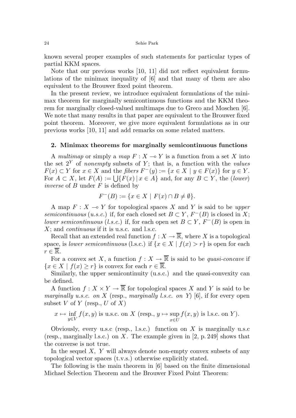#### 24 Sehie Park

known several proper examples of such statements for particular types of partial KKM spaces.

Note that our previous works [10, 11] did not reflect equivalent formulations of the minimax inequality of [6] and that many of them are also equivalent to the Brouwer fixed point theorem.

In the present review, we introduce equivalent formulations of the minimax theorem for marginally semicontinuous functions and the KKM theorem for marginally closed-valued multimaps due to Greco and Moschen [6]. We note that many results in that paper are equivalent to the Brouwer fixed point theorem. Moreover, we give more equivalent formulations as in our previous works [10, 11] and add remarks on some related matters.

### 2. Minimax theorems for marginally semicontinuous functions

A multimap or simply a map  $F : X \to Y$  is a function from a set X into the set  $2^{Y}$  of nonempty subsets of Y; that is, a function with the values  $F(x) \subset Y$  for  $x \in X$  and the fibers  $F^-(y) := \{x \in X \mid y \in F(x)\}$  for  $y \in Y$ . For  $A \subset X$ , let  $F(A) := \bigcup \{ F(x) \mid x \in A \}$  and, for any  $B \subset Y$ , the (lower) inverse of  $B$  under  $F$  is defined by

$$
F^{-}(B) := \{ x \in X \mid F(x) \cap B \neq \emptyset \}.
$$

A map  $F: X \to Y$  for topological spaces X and Y is said to be upper semicontinuous (u.s.c.) if, for each closed set  $B \subset Y$ ,  $F^{-}(B)$  is closed in X; lower semicontinuous (l.s.c.) if, for each open set  $B \subset Y$ ,  $F^{-}(B)$  is open in  $X$ ; and *continuous* if it is u.s.c. and l.s.c.

Recall that an extended real function  $f: X \to \overline{\mathbb{R}}$ , where X is a topological space, is lower semicontinuous (l.s.c.) if  $\{x \in X \mid f(x) > r\}$  is open for each  $r \in \mathbb{R}$ .

For a convex set X, a function  $f: X \to \overline{\mathbb{R}}$  is said to be *quasi-concave* if  ${x \in X \mid f(x) \geq r}$  is convex for each  $r \in \overline{\mathbb{R}}$ .

Similarly, the upper semicontinuity (u.s.c.) and the quasi-convexity can be defined.

A function  $f: X \times Y \to \overline{\mathbb{R}}$  for topological spaces X and Y is said to be marginally u.s.c. on X (resp., marginally l.s.c. on Y) [6], if for every open subset V of Y (resp., U of X)

$$
x \mapsto \inf_{y \in V} f(x, y)
$$
 is u.s.c. on X (resp.,  $y \mapsto \sup_{x \in U} f(x, y)$  is l.s.c. on Y).

Obviously, every u.s.c (resp., l.s.c.) function on  $X$  is marginally u.s.c. (resp., marginally l.s.c.) on X. The example given in  $[2, p. 249]$  shows that the converse is not true.

In the sequel  $X$ ,  $Y$  will always denote non-empty convex subsets of any topological vector spaces (t.v.s.) otherwise explicitly stated.

The following is the main theorem in [6] based on the finite dimensional Michael Selection Theorem and the Brouwer Fixed Point Theorem: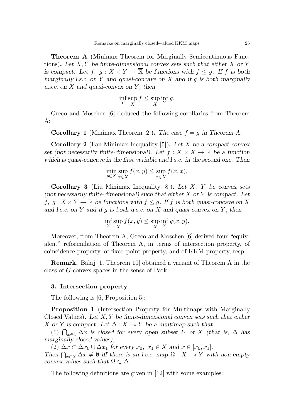Theorem A (Minimax Theorem for Marginally Semicontinuous Functions). Let  $X, Y$  be finite-dimensional convex sets such that either  $X$  or  $Y$ is compact. Let  $f, g: X \times Y \to \overline{\mathbb{R}}$  be functions with  $f \leq g$ . If f is both marginally l.s.c. on Y and quasi-concave on X and if  $g$  is both marginally u.s.c. on  $X$  and quasi-convex on  $Y$ , then

$$
\inf_Y \sup_X f \le \sup_X \inf_Y g.
$$

Greco and Moschen [6] deduced the following corollaries from Theorem  $A$ :

**Corollary 1** (Minimax Theorem [2]). The case  $f = g$  in Theorem A.

**Corollary 2** (Fan Minimax Inequality [5]). Let X be a compact convex set (not necessarily finite-dimensional). Let  $f: X \times X \to \overline{\mathbb{R}}$  be a function which is quasi-concave in the first variable and l.s.c. in the second one. Then

$$
\min_{y \in X} \sup_{x \in X} f(x, y) \le \sup_{x \in X} f(x, x).
$$

**Corollary 3** (Liu Minimax Inequality  $[8]$ ). Let X, Y be convex sets (not necessarily finite-dimensional) such that either  $X$  or  $Y$  is compact. Let f,  $g: X \times Y \to \overline{\mathbb{R}}$  be functions with  $f \leq g$ . If f is both quasi-concave on X and l.s.c. on Y and if g is both u.s.c. on X and quasi-convex on Y, then

$$
\inf_{Y} \sup_{X} f(x, y) \le \sup_{X} \inf_{Y} g(x, y).
$$

Moreover, from Theorem A, Greco and Moschen [6] derived four "equivalent" reformulation of Theorem A, in terms of intersection property, of coincidence property, of fixed point property, and of KKM property, resp.

Remark. Balaj [1, Theorem 10] obtained a variant of Theorem A in the class of G-convex spaces in the sense of Park.

#### 3. Intersection property

The following is [6, Proposition 5]:

Proposition 1 (Intersection Property for Multimaps with Marginally Closed Values). Let  $X, Y$  be finite-dimensional convex sets such that either X or Y is compact. Let  $\Delta: X \to Y$  be a multimap such that

(1)  $\bigcap_{x\in U}\Delta x$  is closed for every open subset U of X (that is,  $\Delta$  has marginally closed-values);

(2)  $\Delta \tilde{x} \subset \Delta x_0 \cup \Delta x_1$  for every  $x_0, x_1 \in X$  and  $\tilde{x} \in [x_0, x_1]$ .

Then  $\bigcap_{x\in X}\Delta x\neq\emptyset$  iff there is an l.s.c. map  $\Omega:X\multimap Y$  with non-empty convex values such that  $\Omega \subset \Delta$ .

The following definitions are given in [12] with some examples: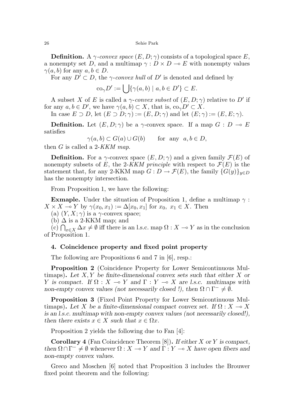26 Sehie Park

**Definition.** A  $\gamma$ -convex space  $(E, D; \gamma)$  consists of a topological space E, a nonempty set D, and a multimap  $\gamma: D \times D \to E$  with nonempty values  $\gamma(a, b)$  for any  $a, b \in D$ .

For any  $D' \subset D$ , the  $\gamma$ -convex hull of D' is denoted and defined by

$$
co_{\gamma}D' := \bigcup \{ \gamma(a, b) \mid a, b \in D' \} \subset E.
$$

A subset X of E is called a  $\gamma$ -convex subset of  $(E, D; \gamma)$  relative to D' if for any  $a, b \in D'$ , we have  $\gamma(a, b) \subset X$ , that is,  $\text{co}_{\gamma}D' \subset X$ .

In case  $E \supset D$ , let  $(E \supset D; \gamma) := (E, D; \gamma)$  and let  $(E; \gamma) := (E, E; \gamma)$ .

**Definition.** Let  $(E, D; \gamma)$  be a  $\gamma$ -convex space. If a map  $G : D \to E$ satisfies

$$
\gamma(a, b) \subset G(a) \cup G(b) \quad \text{for any } a, b \in D,
$$

then G is called a 2-KKM map.

**Definition.** For a  $\gamma$ -convex space  $(E, D; \gamma)$  and a given family  $\mathcal{F}(E)$  of nonempty subsets of E, the 2-KKM principle with respect to  $\mathcal{F}(E)$  is the statement that, for any 2-KKM map  $G: D \to \mathcal{F}(E)$ , the family  $\{G(y)\}_{y \in D}$ has the nonempty intersection.

From Proposition 1, we have the following:

**Exmaple.** Under the situation of Proposition 1, define a multimap  $\gamma$ :  $X \times X \multimap Y$  by  $\gamma(x_0, x_1) := \Delta[x_0, x_1]$  for  $x_0, x_1 \in X$ . Then

(a)  $(Y, X; \gamma)$  is a  $\gamma$ -convex space;

(b)  $\Delta$  is a 2-KKM map; and

 $(c) \bigcap_{x \in X} \Delta x \neq \emptyset$  iff there is an l.s.c. map  $\Omega : X \to Y$  as in the conclusion of Proposition 1.

## 4. Coincidence property and fixed point property

The following are Propositions 6 and 7 in [6], resp.:

Proposition 2 (Coincidence Property for Lower Semicontinuous Multimaps). Let  $X, Y$  be finite-dimensional convex sets such that either X or Y is compact. If  $\Omega : X \to Y$  and  $\Gamma : Y \to X$  are l.s.c. multimaps with non-empty convex values (not necessarily closed !), then  $\Omega \cap \Gamma^- \neq \emptyset$ .

Proposition 3 (Fixed Point Property for Lower Semicontinuous Multimaps). Let X be a finite-dimensional compact convex set. If  $\Omega : X \to X$ is an l.s.c. multimap with non-empty convex values (not necessarily closed!), then there exists  $x \in X$  such that  $x \in \Omega x$ .

Proposition 2 yields the following due to Fan [4]:

**Corollary 4** (Fan Coincidence Theorem  $[8]$ ). If either X or Y is compact, then  $\Omega \cap \Gamma^- \neq \emptyset$  whenever  $\Omega : X \to Y$  and  $\Gamma : Y \to X$  have open fibers and non-empty convex values.

Greco and Moschen [6] noted that Proposition 3 includes the Brouwer fixed point theorem and the following: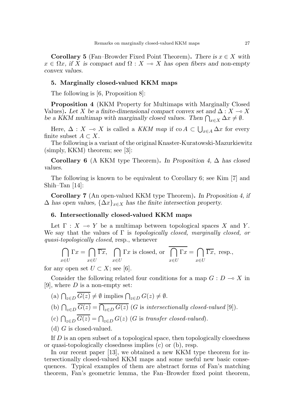**Corollary 5** (Fan–Browder Fixed Point Theorem). There is  $x \in X$  with  $x \in \Omega x$ , if X is compact and  $\Omega : X \to X$  has open fibers and non-empty convex values.

### 5. Marginally closed-valued KKM maps

The following is [6, Proposition 8]:

Proposition 4 (KKM Property for Multimaps with Marginally Closed Values). Let X be a finite-dimensional compact convex set and  $\Delta: X \to X$ be a KKM multimap with marginally closed values. Then  $\bigcap_{x\in X} \Delta x \neq \emptyset$ .

Here,  $\Delta: X \multimap X$  is called a KKM map if  $\text{co } A \subset \bigcup_{x \in A} \Delta x$  for every finite subset  $A \subset X$ .

The following is a variant of the original Knaster-Kuratowski-Mazurkiewitz  $(simply, KKM)$  theorem; see [3]:

Corollary 6 (A KKM type Theorem). In Proposition 4,  $\Delta$  has closed values.

The following is known to be equivalent to Corollary 6; see Kim [7] and Shih–Tan [14]:

Corollary 7 (An open-valued KKM type Theorem). In Proposition 4, if  $\Delta$  has open values,  $\{\Delta x\}_{x\in X}$  has the finite intersection property.

## 6. Intersectionally closed-valued KKM maps

Let  $\Gamma : X \multimap Y$  be a multimap between topological spaces X and Y. We say that the values of  $\Gamma$  is topologically closed, marginally closed, or quasi-topologically closed, resp., whenever

$$
\bigcap_{x \in U} \Gamma x = \bigcap_{x \in U} \overline{\Gamma x}, \quad \bigcap_{x \in U} \Gamma x \text{ is closed, or } \overline{\bigcap_{x \in U} \Gamma x} = \bigcap_{x \in U} \overline{\Gamma x}, \text{ resp.,}
$$

for any open set  $U \subset X$ ; see [6].

Consider the following related four conditions for a map  $G: D \to X$  in [9], where  $D$  is a non-empty set:

- (a)  $\bigcap_{z \in D} G(z) \neq \emptyset$  implies  $\bigcap_{z \in D} G(z) \neq \emptyset$ .
- (b)  $\bigcap_{z\in D} G(z) = \bigcap_{z\in D} G(z)$  (G is intersectionally closed-valued [9]).
- (c)  $\bigcap_{z \in D} G(z) = \bigcap_{z \in D} G(z)$  (G is transfer closed-valued).
- (d)  $G$  is closed-valued.

If  $D$  is an open subset of a topological space, then topologically closedness or quasi-topologically closedness implies (c) or (b), resp.

In our recent paper [13], we obtained a new KKM type theorem for intersectionally closed-valued KKM maps and some useful new basic consequences. Typical examples of them are abstract forms of Fan's matching theorem, Fan's geometric lemma, the Fan–Browder fixed point theorem,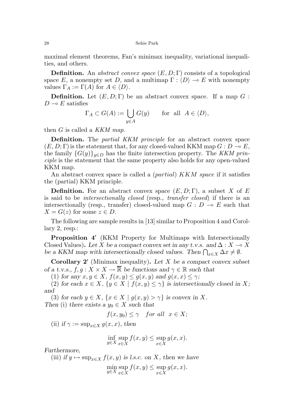maximal element theorems, Fan's minimax inequality, variational inequalities, and others.

**Definition.** An abstract convex space  $(E, D; \Gamma)$  consists of a topological space E, a nonempty set D, and a multimap  $\Gamma : \langle D \rangle \to E$  with nonempty values  $\Gamma_A := \Gamma(A)$  for  $A \in \langle D \rangle$ .

**Definition.** Let  $(E, D; \Gamma)$  be an abstract convex space. If a map  $G$ :  $D \multimap E$  satisfies

$$
\Gamma_A \subset G(A) := \bigcup_{y \in A} G(y) \quad \text{for all } A \in \langle D \rangle,
$$

then  $G$  is called a KKM map.

**Definition.** The *partial KKM principle* for an abstract convex space  $(E, D; \Gamma)$  is the statement that, for any closed-valued KKM map  $G: D \to E$ , the family  ${G(y)}_{y\in D}$  has the finite intersection property. The KKM principle is the statement that the same property also holds for any open-valued KKM map.

An abstract convex space is called a *(partial) KKM space* if it satisfies the (partial) KKM principle.

**Definition.** For an abstract convex space  $(E, D; \Gamma)$ , a subset X of E is said to be *intersectionally closed* (resp., *transfer closed*) if there is an intersectionally (resp., transfer) closed-valued map  $G : D \multimap E$  such that  $X = G(z)$  for some  $z \in D$ .

The following are sample results in [13] similar to Proposition 4 and Corollary 2, resp.:

Proposition 4' (KKM Property for Multimaps with Intersectionally Closed Values). Let X be a compact convex set in any t.v.s. and  $\Delta : X \to X$ be a KKM map with intersectionally closed values. Then  $\bigcap_{x\in X} \Delta x \neq \emptyset$ .

**Corollary 2'** (Minimax inequality). Let  $X$  be a compact convex subset of a t.v.s.,  $f, g: X \times X \to \overline{\mathbb{R}}$  be functions and  $\gamma \in \mathbb{R}$  such that

(1) for any  $x, y \in X$ ,  $f(x, y) \le g(x, y)$  and  $g(x, x) \le \gamma$ ;

(2) for each  $x \in X$ ,  $\{y \in X \mid f(x, y) \leq \gamma\}$  is intersectionally closed in X; and

(3) for each  $y \in X$ ,  $\{x \in X \mid g(x, y) > \gamma\}$  is convex in X. Then (i) there exists a  $y_0 \in X$  such that

$$
f(x,y_0) \le \gamma \quad \text{for all} \ \ x \in X;
$$

(ii) if  $\gamma := \sup_{x \in X} q(x, x)$ , then

$$
\inf_{y \in X} \sup_{x \in X} f(x, y) \le \sup_{x \in X} g(x, x).
$$

Furthermore,

(iii) if  $y \mapsto \sup_{x \in X} f(x, y)$  is l.s.c. on X, then we have min sup<br> $y \in X$ <sub>x∈</sub>x x∈X  $f(x, y) \leq \sup$ x∈X  $g(x, x)$ .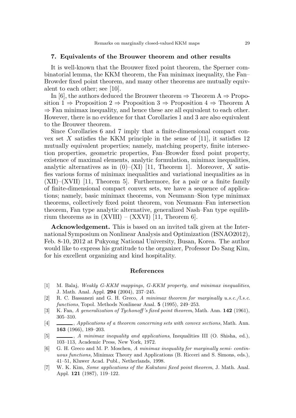#### 7. Equivalents of the Brouwer theorem and other results

It is well-known that the Brouwer fixed point theorem, the Sperner combinatorial lemma, the KKM theorem, the Fan minimax inequality, the Fan– Browder fixed point theorem, and many other theorems are mutually equivalent to each other; see [10].

In [6], the authors deduced the Brouwer theorem  $\Rightarrow$  Theorem A  $\Rightarrow$  Proposition  $1 \Rightarrow$  Proposition  $2 \Rightarrow$  Proposition  $3 \Rightarrow$  Proposition  $4 \Rightarrow$  Theorem A  $\Rightarrow$  Fan minimax inequality, and hence these are all equivalent to each other. However, there is no evidence for that Corollaries 1 and 3 are also equivalent to the Brouwer theorem.

Since Corollaries 6 and 7 imply that a finite-dimensional compact convex set X satisfies the KKM principle in the sense of [11], it satisfies 12 mutually equivalent properties; namely, matching property, finite intersection properties, geometric properties, Fan–Browder fixed point property, existence of maximal elements, analytic formulation, minimax inequalities, analytic alternatives as in  $(0)$ –(XI) [11, Theorem 1]. Moreover, X satisfies various forms of minimax inequalities and variational inequalities as in (XII)–(XVII) [11, Theorem 5]. Furthermore, for a pair or a finite family of finite-dimensional compact convex sets, we have a sequence of applications; namely, basic minimax theorems, von Neumann–Sion type minimax theorems, collectively fixed point theorem, von Neumann–Fan intersection theorem, Fan type analytic alternative, generalized Nash–Fan type equilibrium theorems as in  $(XVIII) - (XXVI)$  [11, Theorem 6].

Acknowledgement. This is based on an invited talk given at the International Symposium on Nonlinear Analysis and Optimization (ISNAO2012), Feb. 8-10, 2012 at Pukyong National University, Busan, Korea. The author would like to express his gratitude to the organizer, Professor Do Sang Kim, for his excellent organizing and kind hospitality.

### References

- [1] M. Balaj, Weakly G-KKM mappings, G-KKM property, and minimax inequalities, J. Math. Anal. Appl. 294 (2004), 237–245.
- [2] R. C. Bassanezi and G. H. Greco, A minimax theorem for marginally u.s.c./l.s.c. functions, Topol. Methods Nonlinear Anal. 5 (1995), 249–253.
- [3] K. Fan, A generalization of Tychonoff's fixed point theorem, Math. Ann. 142 (1961), 305–310.
- [4]  $\Box$ , Applications of a theorem concerning sets with convex sections, Math. Ann. 163 (1966), 189–203.
- [5]  $\_\_\_\_\_\$ , A minimax inequality and applications, Inequalities III (O. Shisha, ed.), 103–113, Academic Press, New York, 1972.
- [6] G. H. Greco and M. P. Moschen, A minimax inequality for marginally semi- continuous functions, Minimax Theory and Applications (B. Ricceri and S. Simons, eds.), 41–51, Kluwer Acad. Publ., Netherlands, 1998.
- [7] W. K. Kim, Some applications of the Kakutani fixed point theorem, J. Math. Anal. Appl. 121 (1987), 119–122.